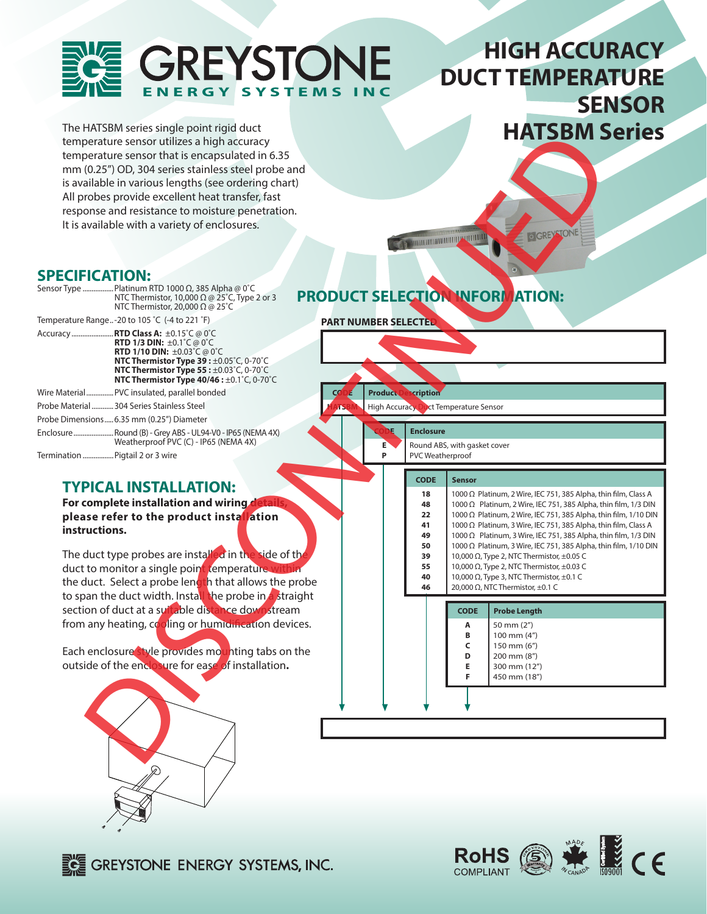

# **HIGH ACCURACY DUCT TEMPERATURE SENSOR**

The HATSBM series single point rigid duct temperature sensor utilizes a high accuracy temperature sensor that is encapsulated in 6.35 mm (0.25") OD, 304 series stainless steel probe and is available in various lengths (see ordering chart) All probes provide excellent heat transfer, fast response and resistance to moisture penetration. It is available with a variety of enclosures.

# **HATSBM Series and proposed decline the model of the continued and proposed decline the continued and proposed and proposed and proposed and proposed and proposed and proposed and proposed and proposed and proposed and pro**

# **SPECIFICATION:**

|                                  | Sensor Type  Platinum RTD 1000 $\Omega$ , 385 Alpha @ 0°C<br>NTC Thermistor, 10,000 $\Omega$ @ 25°C, Type 2 or 3<br>NTC Thermistor, 20,000 $\Omega$ @ 25°C                                                                                                                                                          |
|----------------------------------|---------------------------------------------------------------------------------------------------------------------------------------------------------------------------------------------------------------------------------------------------------------------------------------------------------------------|
|                                  | Temperature Range-20 to 105 °C (-4 to 221 °F)                                                                                                                                                                                                                                                                       |
|                                  | Accuracy  RTD Class A: ±0.15°C @ 0°C<br><b>RTD 1/3 DIN:</b> $\pm 0.1^{\circ}$ C @ 0 $^{\circ}$ C<br>RTD 1/10 DIN: ±0.03°C @ 0°C<br>NTC Thermistor Type 39: ±0.05°C, 0-70°C<br>NTC Thermistor Type 55 : $\pm 0.03^{\circ}$ C, 0-70 $^{\circ}$ C<br>NTC Thermistor Type $40/46: \pm 0.1^{\circ}$ C, 0-70 $^{\circ}$ C |
|                                  | Wire Material PVC insulated, parallel bonded                                                                                                                                                                                                                                                                        |
|                                  | Probe Material  304 Series Stainless Steel                                                                                                                                                                                                                                                                          |
|                                  | Probe Dimensions 6.35 mm (0.25") Diameter                                                                                                                                                                                                                                                                           |
|                                  | EnclosureRound (B) - Grey ABS - UL94-V0 - IP65 (NEMA 4X)<br>Weatherproof PVC (C) - IP65 (NEMA 4X)                                                                                                                                                                                                                   |
| Termination  Pigtail 2 or 3 wire |                                                                                                                                                                                                                                                                                                                     |

## **TYPICAL INSTALLATION:**

**For complete installation and wiring detail please refer to the product installation instructions.**

The duct type probes are installed in the side of the duct to monitor a single point temperature within the duct. Select a probe length that allows the probe to span the duct width. Install the probe in a straight section of duct at a suitable distance downstream from any heating,  $c_0$  oling or humidification devices.

Each enclosure style provides mounting tabs on the outside of the enclosure for ease of installation**.**



# **PRODUCT SELECTION INFORMATION:**

**PART NUMBER SELECTED**

### **Product Description**

**High Accuracy Duct Temperature Sensor** 

| <b>Enclosure</b>             |
|------------------------------|
| Round ABS, with gasket cover |
| DVC Woothornroof             |

| ה | PVC Weatherproof             |
|---|------------------------------|
|   | Round ABS, with gasket cover |

### **CODE Sensor 18** 1000 Ω Platinum, 2 Wire, IEC 751, 385 Alpha, thin film, Class A **48** 1000 Ω Platinum, 2 Wire, IEC 751, 385 Alpha, thin film, 1/3 DIN **22** 1000 Ω Platinum, 2 Wire, IEC 751, 385 Alpha, thin film, 1/10 DIN **41** 1000 Ω Platinum, 3 Wire, IEC 751, 385 Alpha, thin film, Class A

| 49 |                                                                                                                                                                                                                                                          |
|----|----------------------------------------------------------------------------------------------------------------------------------------------------------------------------------------------------------------------------------------------------------|
| 50 | 1000 $\Omega$ Platinum, 3 Wire, IEC 751, 385 Alpha, thin film, 1/3 DIN<br>1000 $\Omega$ Platinum, 3 Wire, IEC 751, 385 Alpha, thin film, 1/10 DIN<br>10,000 $\Omega$ , Type 2, NTC Thermistor, ±0.05 C<br>10,000 $\Omega$ , Type 2, NTC Thermistor, ±0.0 |
| 39 |                                                                                                                                                                                                                                                          |
| 55 |                                                                                                                                                                                                                                                          |
| 40 |                                                                                                                                                                                                                                                          |
| 46 | 20,000 $\Omega$ , NTC Thermistor, ±0.1 C                                                                                                                                                                                                                 |

### **CODE Probe Length A**  $\frac{1}{20}$  mm (2") **B**  $\begin{bmatrix} 100 \text{ mm} & (4^n) \\ 150 \text{ mm} & (6^n) \end{bmatrix}$ **C** 150 mm (6")<br>**D** 200 mm (8")  **D** 200 mm (8") **E** 300 mm  $(12")$  **F** 450 mm (18")